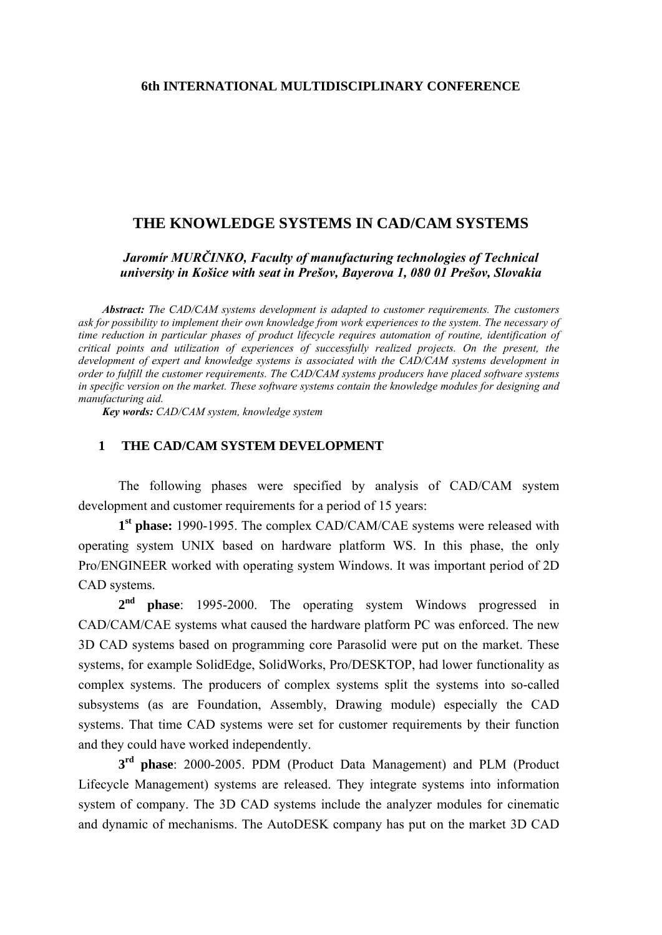### **6th INTERNATIONAL MULTIDISCIPLINARY CONFERENCE**

### **THE KNOWLEDGE SYSTEMS IN CAD/CAM SYSTEMS**

*Jaromír MURČINKO, Faculty of manufacturing technologies of Technical university in Košice with seat in Prešov, Bayerova 1, 080 01 Prešov, Slovakia* 

*Abstract: The CAD/CAM systems development is adapted to customer requirements. The customers ask for possibility to implement their own knowledge from work experiences to the system. The necessary of time reduction in particular phases of product lifecycle requires automation of routine, identification of critical points and utilization of experiences of successfully realized projects. On the present, the development of expert and knowledge systems is associated with the CAD/CAM systems development in order to fulfill the customer requirements. The CAD/CAM systems producers have placed software systems in specific version on the market. These software systems contain the knowledge modules for designing and manufacturing aid.* 

*Key words: CAD/CAM system, knowledge system*

### **1 THE CAD/CAM SYSTEM DEVELOPMENT**

The following phases were specified by analysis of CAD/CAM system development and customer requirements for a period of 15 years:

**1st phase:** 1990-1995. The complex CAD/CAM/CAE systems were released with operating system UNIX based on hardware platform WS. In this phase, the only Pro/ENGINEER worked with operating system Windows. It was important period of 2D CAD systems.

**2nd phase**: 1995-2000. The operating system Windows progressed in CAD/CAM/CAE systems what caused the hardware platform PC was enforced. The new 3D CAD systems based on programming core Parasolid were put on the market. These systems, for example SolidEdge, SolidWorks, Pro/DESKTOP, had lower functionality as complex systems. The producers of complex systems split the systems into so-called subsystems (as are Foundation, Assembly, Drawing module) especially the CAD systems. That time CAD systems were set for customer requirements by their function and they could have worked independently.

**3rd phase**: 2000-2005. PDM (Product Data Management) and PLM (Product Lifecycle Management) systems are released. They integrate systems into information system of company. The 3D CAD systems include the analyzer modules for cinematic and dynamic of mechanisms. The AutoDESK company has put on the market 3D CAD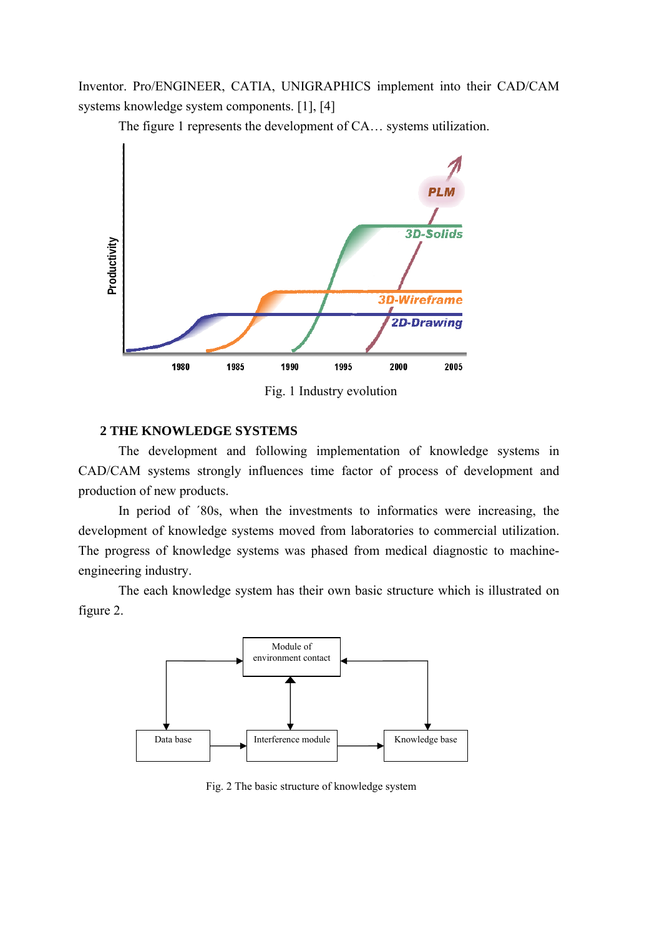Inventor. Pro/ENGINEER, CATIA, UNIGRAPHICS implement into their CAD/CAM systems knowledge system components. [1], [4]

The figure 1 represents the development of CA… systems utilization.



Fig. 1 Industry evolution

### **2 THE KNOWLEDGE SYSTEMS**

The development and following implementation of knowledge systems in CAD/CAM systems strongly influences time factor of process of development and production of new products.

In period of ´80s, when the investments to informatics were increasing, the development of knowledge systems moved from laboratories to commercial utilization. The progress of knowledge systems was phased from medical diagnostic to machineengineering industry.

The each knowledge system has their own basic structure which is illustrated on figure 2.



Fig. 2 The basic structure of knowledge system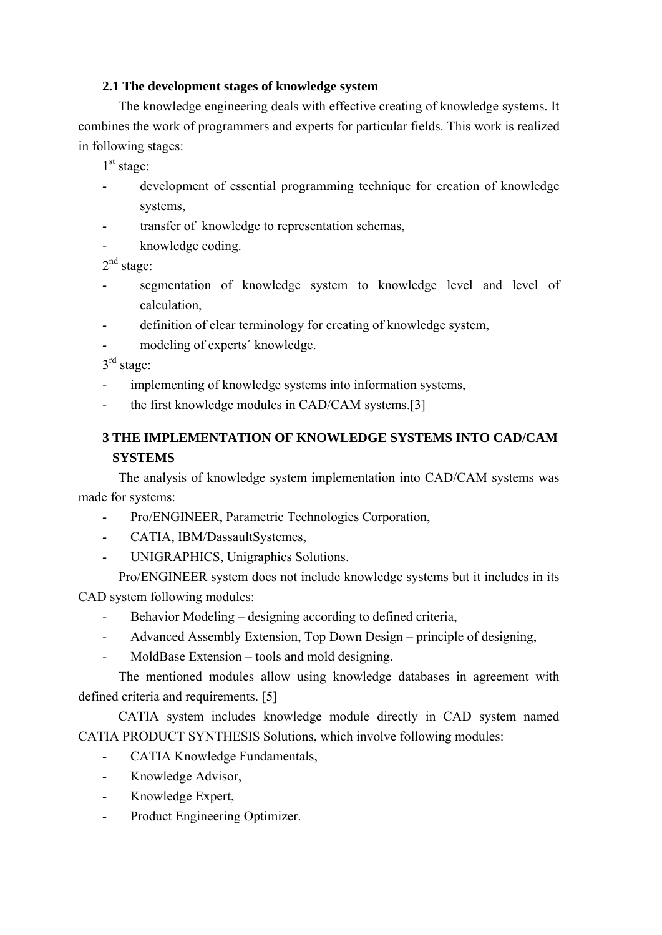## **2.1 The development stages of knowledge system**

The knowledge engineering deals with effective creating of knowledge systems. It combines the work of programmers and experts for particular fields. This work is realized in following stages:

 $1<sup>st</sup>$  stage:

- development of essential programming technique for creation of knowledge systems,
- transfer of knowledge to representation schemas.
- knowledge coding.

 $2<sup>nd</sup> stage:$ 

- segmentation of knowledge system to knowledge level and level of calculation,
- definition of clear terminology for creating of knowledge system,
- modeling of experts' knowledge.

3rd stage:

- implementing of knowledge systems into information systems,
- the first knowledge modules in CAD/CAM systems.[3]

# **3 THE IMPLEMENTATION OF KNOWLEDGE SYSTEMS INTO CAD/CAM SYSTEMS**

The analysis of knowledge system implementation into CAD/CAM systems was made for systems:

- Pro/ENGINEER, Parametric Technologies Corporation,
- CATIA, IBM/DassaultSystemes,
- UNIGRAPHICS, Unigraphics Solutions.

Pro/ENGINEER system does not include knowledge systems but it includes in its CAD system following modules:

- Behavior Modeling designing according to defined criteria,
- Advanced Assembly Extension, Top Down Design principle of designing,
- MoldBase Extension tools and mold designing.

The mentioned modules allow using knowledge databases in agreement with defined criteria and requirements. [5]

CATIA system includes knowledge module directly in CAD system named CATIA PRODUCT SYNTHESIS Solutions, which involve following modules:

- CATIA Knowledge Fundamentals,
- Knowledge Advisor,
- Knowledge Expert,
- Product Engineering Optimizer.